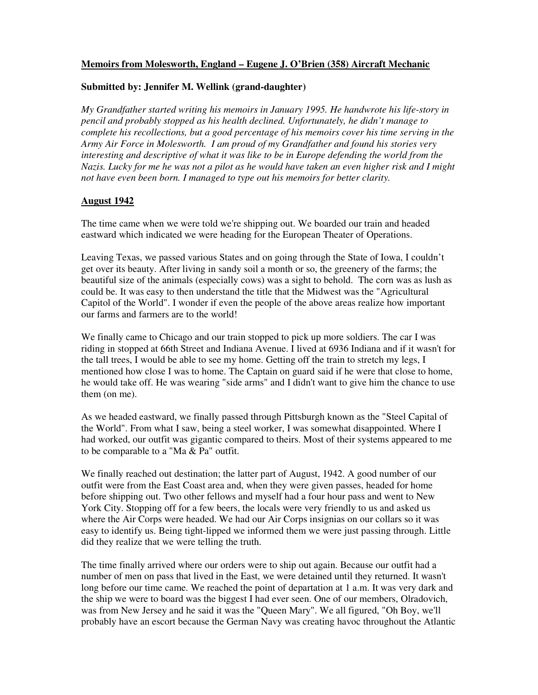## **Memoirs from Molesworth, England – Eugene J. O'Brien (358) Aircraft Mechanic**

## **Submitted by: Jennifer M. Wellink (grand-daughter)**

*My Grandfather started writing his memoirs in January 1995. He handwrote his life-story in pencil and probably stopped as his health declined. Unfortunately, he didn't manage to complete his recollections, but a good percentage of his memoirs cover his time serving in the Army Air Force in Molesworth. I am proud of my Grandfather and found his stories very interesting and descriptive of what it was like to be in Europe defending the world from the Nazis. Lucky for me he was not a pilot as he would have taken an even higher risk and I might not have even been born. I managed to type out his memoirs for better clarity.* 

## **August 1942**

The time came when we were told we're shipping out. We boarded our train and headed eastward which indicated we were heading for the European Theater of Operations.

Leaving Texas, we passed various States and on going through the State of Iowa, I couldn't get over its beauty. After living in sandy soil a month or so, the greenery of the farms; the beautiful size of the animals (especially cows) was a sight to behold. The corn was as lush as could be. It was easy to then understand the title that the Midwest was the "Agricultural Capitol of the World". I wonder if even the people of the above areas realize how important our farms and farmers are to the world!

We finally came to Chicago and our train stopped to pick up more soldiers. The car I was riding in stopped at 66th Street and Indiana Avenue. I lived at 6936 Indiana and if it wasn't for the tall trees, I would be able to see my home. Getting off the train to stretch my legs, I mentioned how close I was to home. The Captain on guard said if he were that close to home, he would take off. He was wearing "side arms" and I didn't want to give him the chance to use them (on me).

As we headed eastward, we finally passed through Pittsburgh known as the "Steel Capital of the World". From what I saw, being a steel worker, I was somewhat disappointed. Where I had worked, our outfit was gigantic compared to theirs. Most of their systems appeared to me to be comparable to a "Ma & Pa" outfit.

We finally reached out destination; the latter part of August, 1942. A good number of our outfit were from the East Coast area and, when they were given passes, headed for home before shipping out. Two other fellows and myself had a four hour pass and went to New York City. Stopping off for a few beers, the locals were very friendly to us and asked us where the Air Corps were headed. We had our Air Corps insignias on our collars so it was easy to identify us. Being tight-lipped we informed them we were just passing through. Little did they realize that we were telling the truth.

The time finally arrived where our orders were to ship out again. Because our outfit had a number of men on pass that lived in the East, we were detained until they returned. It wasn't long before our time came. We reached the point of departation at 1 a.m. It was very dark and the ship we were to board was the biggest I had ever seen. One of our members, Olradovich, was from New Jersey and he said it was the "Queen Mary". We all figured, "Oh Boy, we'll probably have an escort because the German Navy was creating havoc throughout the Atlantic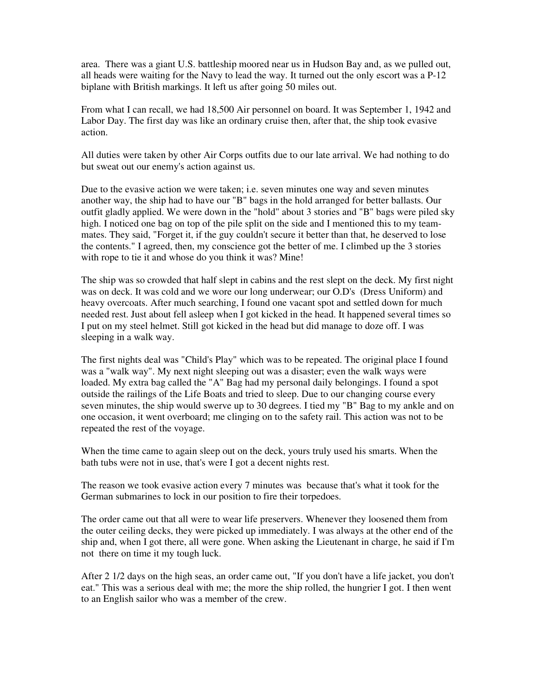area. There was a giant U.S. battleship moored near us in Hudson Bay and, as we pulled out, all heads were waiting for the Navy to lead the way. It turned out the only escort was a P-12 biplane with British markings. It left us after going 50 miles out.

From what I can recall, we had 18,500 Air personnel on board. It was September 1, 1942 and Labor Day. The first day was like an ordinary cruise then, after that, the ship took evasive action.

All duties were taken by other Air Corps outfits due to our late arrival. We had nothing to do but sweat out our enemy's action against us.

Due to the evasive action we were taken; i.e. seven minutes one way and seven minutes another way, the ship had to have our "B" bags in the hold arranged for better ballasts. Our outfit gladly applied. We were down in the "hold" about 3 stories and "B" bags were piled sky high. I noticed one bag on top of the pile split on the side and I mentioned this to my teammates. They said, "Forget it, if the guy couldn't secure it better than that, he deserved to lose the contents." I agreed, then, my conscience got the better of me. I climbed up the 3 stories with rope to tie it and whose do you think it was? Mine!

The ship was so crowded that half slept in cabins and the rest slept on the deck. My first night was on deck. It was cold and we wore our long underwear; our O.D's (Dress Uniform) and heavy overcoats. After much searching, I found one vacant spot and settled down for much needed rest. Just about fell asleep when I got kicked in the head. It happened several times so I put on my steel helmet. Still got kicked in the head but did manage to doze off. I was sleeping in a walk way.

The first nights deal was "Child's Play" which was to be repeated. The original place I found was a "walk way". My next night sleeping out was a disaster; even the walk ways were loaded. My extra bag called the "A" Bag had my personal daily belongings. I found a spot outside the railings of the Life Boats and tried to sleep. Due to our changing course every seven minutes, the ship would swerve up to 30 degrees. I tied my "B" Bag to my ankle and on one occasion, it went overboard; me clinging on to the safety rail. This action was not to be repeated the rest of the voyage.

When the time came to again sleep out on the deck, yours truly used his smarts. When the bath tubs were not in use, that's were I got a decent nights rest.

The reason we took evasive action every 7 minutes was because that's what it took for the German submarines to lock in our position to fire their torpedoes.

The order came out that all were to wear life preservers. Whenever they loosened them from the outer ceiling decks, they were picked up immediately. I was always at the other end of the ship and, when I got there, all were gone. When asking the Lieutenant in charge, he said if I'm not there on time it my tough luck.

After 2 1/2 days on the high seas, an order came out, "If you don't have a life jacket, you don't eat." This was a serious deal with me; the more the ship rolled, the hungrier I got. I then went to an English sailor who was a member of the crew.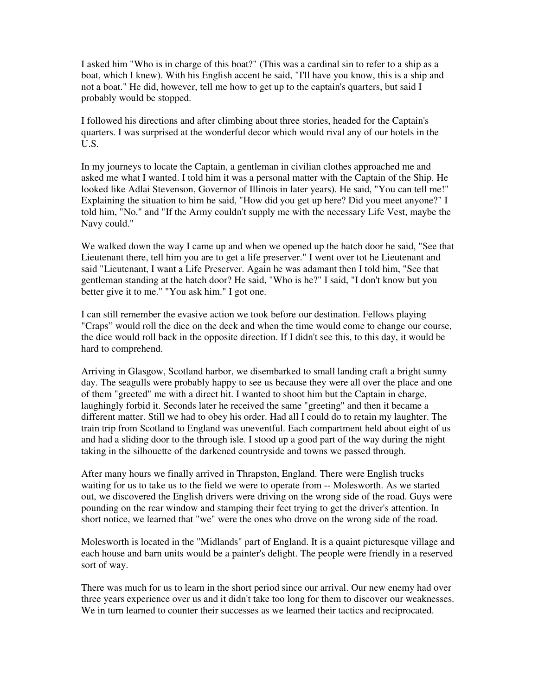I asked him "Who is in charge of this boat?" (This was a cardinal sin to refer to a ship as a boat, which I knew). With his English accent he said, "I'll have you know, this is a ship and not a boat." He did, however, tell me how to get up to the captain's quarters, but said I probably would be stopped.

I followed his directions and after climbing about three stories, headed for the Captain's quarters. I was surprised at the wonderful decor which would rival any of our hotels in the U.S.

In my journeys to locate the Captain, a gentleman in civilian clothes approached me and asked me what I wanted. I told him it was a personal matter with the Captain of the Ship. He looked like Adlai Stevenson, Governor of Illinois in later years). He said, "You can tell me!" Explaining the situation to him he said, "How did you get up here? Did you meet anyone?" I told him, "No." and "If the Army couldn't supply me with the necessary Life Vest, maybe the Navy could."

We walked down the way I came up and when we opened up the hatch door he said, "See that Lieutenant there, tell him you are to get a life preserver." I went over tot he Lieutenant and said "Lieutenant, I want a Life Preserver. Again he was adamant then I told him, "See that gentleman standing at the hatch door? He said, "Who is he?" I said, "I don't know but you better give it to me." "You ask him." I got one.

I can still remember the evasive action we took before our destination. Fellows playing "Craps" would roll the dice on the deck and when the time would come to change our course, the dice would roll back in the opposite direction. If I didn't see this, to this day, it would be hard to comprehend.

Arriving in Glasgow, Scotland harbor, we disembarked to small landing craft a bright sunny day. The seagulls were probably happy to see us because they were all over the place and one of them "greeted" me with a direct hit. I wanted to shoot him but the Captain in charge, laughingly forbid it. Seconds later he received the same "greeting" and then it became a different matter. Still we had to obey his order. Had all I could do to retain my laughter. The train trip from Scotland to England was uneventful. Each compartment held about eight of us and had a sliding door to the through isle. I stood up a good part of the way during the night taking in the silhouette of the darkened countryside and towns we passed through.

After many hours we finally arrived in Thrapston, England. There were English trucks waiting for us to take us to the field we were to operate from -- Molesworth. As we started out, we discovered the English drivers were driving on the wrong side of the road. Guys were pounding on the rear window and stamping their feet trying to get the driver's attention. In short notice, we learned that "we" were the ones who drove on the wrong side of the road.

Molesworth is located in the "Midlands" part of England. It is a quaint picturesque village and each house and barn units would be a painter's delight. The people were friendly in a reserved sort of way.

There was much for us to learn in the short period since our arrival. Our new enemy had over three years experience over us and it didn't take too long for them to discover our weaknesses. We in turn learned to counter their successes as we learned their tactics and reciprocated.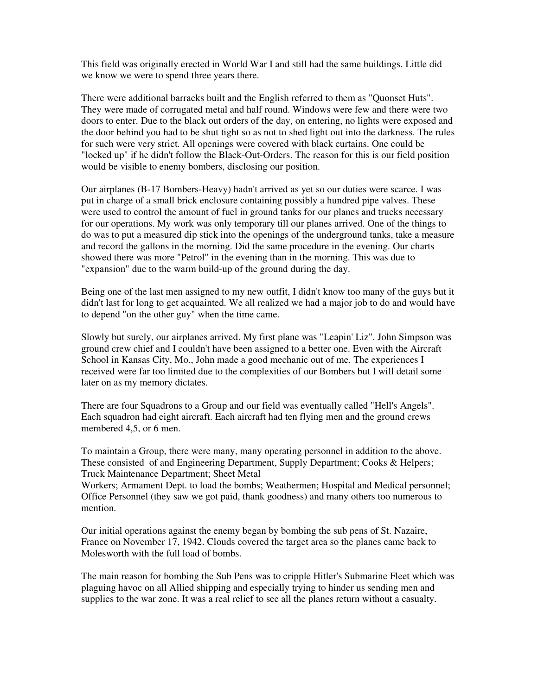This field was originally erected in World War I and still had the same buildings. Little did we know we were to spend three years there.

There were additional barracks built and the English referred to them as "Quonset Huts". They were made of corrugated metal and half round. Windows were few and there were two doors to enter. Due to the black out orders of the day, on entering, no lights were exposed and the door behind you had to be shut tight so as not to shed light out into the darkness. The rules for such were very strict. All openings were covered with black curtains. One could be "locked up" if he didn't follow the Black-Out-Orders. The reason for this is our field position would be visible to enemy bombers, disclosing our position.

Our airplanes (B-17 Bombers-Heavy) hadn't arrived as yet so our duties were scarce. I was put in charge of a small brick enclosure containing possibly a hundred pipe valves. These were used to control the amount of fuel in ground tanks for our planes and trucks necessary for our operations. My work was only temporary till our planes arrived. One of the things to do was to put a measured dip stick into the openings of the underground tanks, take a measure and record the gallons in the morning. Did the same procedure in the evening. Our charts showed there was more "Petrol" in the evening than in the morning. This was due to "expansion" due to the warm build-up of the ground during the day.

Being one of the last men assigned to my new outfit, I didn't know too many of the guys but it didn't last for long to get acquainted. We all realized we had a major job to do and would have to depend "on the other guy" when the time came.

Slowly but surely, our airplanes arrived. My first plane was "Leapin' Liz". John Simpson was ground crew chief and I couldn't have been assigned to a better one. Even with the Aircraft School in Kansas City, Mo., John made a good mechanic out of me. The experiences I received were far too limited due to the complexities of our Bombers but I will detail some later on as my memory dictates.

There are four Squadrons to a Group and our field was eventually called "Hell's Angels". Each squadron had eight aircraft. Each aircraft had ten flying men and the ground crews membered 4,5, or 6 men.

To maintain a Group, there were many, many operating personnel in addition to the above. These consisted of and Engineering Department, Supply Department; Cooks & Helpers; Truck Maintenance Department; Sheet Metal

Workers; Armament Dept. to load the bombs; Weathermen; Hospital and Medical personnel; Office Personnel (they saw we got paid, thank goodness) and many others too numerous to mention.

Our initial operations against the enemy began by bombing the sub pens of St. Nazaire, France on November 17, 1942. Clouds covered the target area so the planes came back to Molesworth with the full load of bombs.

The main reason for bombing the Sub Pens was to cripple Hitler's Submarine Fleet which was plaguing havoc on all Allied shipping and especially trying to hinder us sending men and supplies to the war zone. It was a real relief to see all the planes return without a casualty.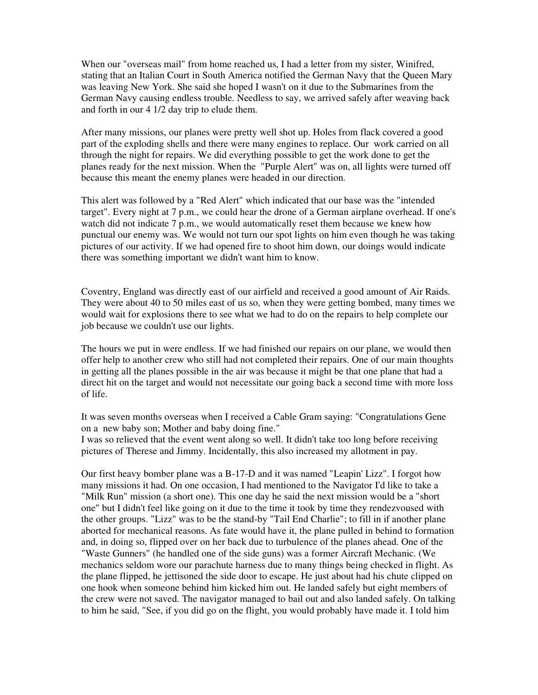When our "overseas mail" from home reached us, I had a letter from my sister, Winifred, stating that an Italian Court in South America notified the German Navy that the Queen Mary was leaving New York. She said she hoped I wasn't on it due to the Submarines from the German Navy causing endless trouble. Needless to say, we arrived safely after weaving back and forth in our 4 1/2 day trip to elude them.

After many missions, our planes were pretty well shot up. Holes from flack covered a good part of the exploding shells and there were many engines to replace. Our work carried on all through the night for repairs. We did everything possible to get the work done to get the planes ready for the next mission. When the "Purple Alert" was on, all lights were turned off because this meant the enemy planes were headed in our direction.

This alert was followed by a "Red Alert" which indicated that our base was the "intended target". Every night at 7 p.m., we could hear the drone of a German airplane overhead. If one's watch did not indicate 7 p.m., we would automatically reset them because we knew how punctual our enemy was. We would not turn our spot lights on him even though he was taking pictures of our activity. If we had opened fire to shoot him down, our doings would indicate there was something important we didn't want him to know.

Coventry, England was directly east of our airfield and received a good amount of Air Raids. They were about 40 to 50 miles east of us so, when they were getting bombed, many times we would wait for explosions there to see what we had to do on the repairs to help complete our job because we couldn't use our lights.

The hours we put in were endless. If we had finished our repairs on our plane, we would then offer help to another crew who still had not completed their repairs. One of our main thoughts in getting all the planes possible in the air was because it might be that one plane that had a direct hit on the target and would not necessitate our going back a second time with more loss of life.

It was seven months overseas when I received a Cable Gram saying: "Congratulations Gene on a new baby son; Mother and baby doing fine."

I was so relieved that the event went along so well. It didn't take too long before receiving pictures of Therese and Jimmy. Incidentally, this also increased my allotment in pay.

Our first heavy bomber plane was a B-17-D and it was named "Leapin' Lizz". I forgot how many missions it had. On one occasion, I had mentioned to the Navigator I'd like to take a "Milk Run" mission (a short one). This one day he said the next mission would be a "short one" but I didn't feel like going on it due to the time it took by time they rendezvoused with the other groups. "Lizz" was to be the stand-by "Tail End Charlie"; to fill in if another plane aborted for mechanical reasons. As fate would have it, the plane pulled in behind to formation and, in doing so, flipped over on her back due to turbulence of the planes ahead. One of the "Waste Gunners" (he handled one of the side guns) was a former Aircraft Mechanic. (We mechanics seldom wore our parachute harness due to many things being checked in flight. As the plane flipped, he jettisoned the side door to escape. He just about had his chute clipped on one hook when someone behind him kicked him out. He landed safely but eight members of the crew were not saved. The navigator managed to bail out and also landed safely. On talking to him he said, "See, if you did go on the flight, you would probably have made it. I told him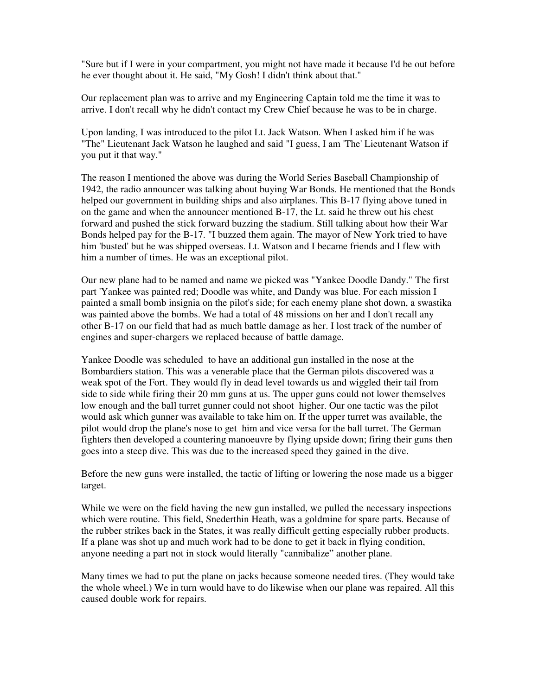"Sure but if I were in your compartment, you might not have made it because I'd be out before he ever thought about it. He said, "My Gosh! I didn't think about that."

Our replacement plan was to arrive and my Engineering Captain told me the time it was to arrive. I don't recall why he didn't contact my Crew Chief because he was to be in charge.

Upon landing, I was introduced to the pilot Lt. Jack Watson. When I asked him if he was "The" Lieutenant Jack Watson he laughed and said "I guess, I am 'The' Lieutenant Watson if you put it that way."

The reason I mentioned the above was during the World Series Baseball Championship of 1942, the radio announcer was talking about buying War Bonds. He mentioned that the Bonds helped our government in building ships and also airplanes. This B-17 flying above tuned in on the game and when the announcer mentioned B-17, the Lt. said he threw out his chest forward and pushed the stick forward buzzing the stadium. Still talking about how their War Bonds helped pay for the B-17. "I buzzed them again. The mayor of New York tried to have him 'busted' but he was shipped overseas. Lt. Watson and I became friends and I flew with him a number of times. He was an exceptional pilot.

Our new plane had to be named and name we picked was "Yankee Doodle Dandy." The first part 'Yankee was painted red; Doodle was white, and Dandy was blue. For each mission I painted a small bomb insignia on the pilot's side; for each enemy plane shot down, a swastika was painted above the bombs. We had a total of 48 missions on her and I don't recall any other B-17 on our field that had as much battle damage as her. I lost track of the number of engines and super-chargers we replaced because of battle damage.

Yankee Doodle was scheduled to have an additional gun installed in the nose at the Bombardiers station. This was a venerable place that the German pilots discovered was a weak spot of the Fort. They would fly in dead level towards us and wiggled their tail from side to side while firing their 20 mm guns at us. The upper guns could not lower themselves low enough and the ball turret gunner could not shoot higher. Our one tactic was the pilot would ask which gunner was available to take him on. If the upper turret was available, the pilot would drop the plane's nose to get him and vice versa for the ball turret. The German fighters then developed a countering manoeuvre by flying upside down; firing their guns then goes into a steep dive. This was due to the increased speed they gained in the dive.

Before the new guns were installed, the tactic of lifting or lowering the nose made us a bigger target.

While we were on the field having the new gun installed, we pulled the necessary inspections which were routine. This field, Snederthin Heath, was a goldmine for spare parts. Because of the rubber strikes back in the States, it was really difficult getting especially rubber products. If a plane was shot up and much work had to be done to get it back in flying condition, anyone needing a part not in stock would literally "cannibalize" another plane.

Many times we had to put the plane on jacks because someone needed tires. (They would take the whole wheel.) We in turn would have to do likewise when our plane was repaired. All this caused double work for repairs.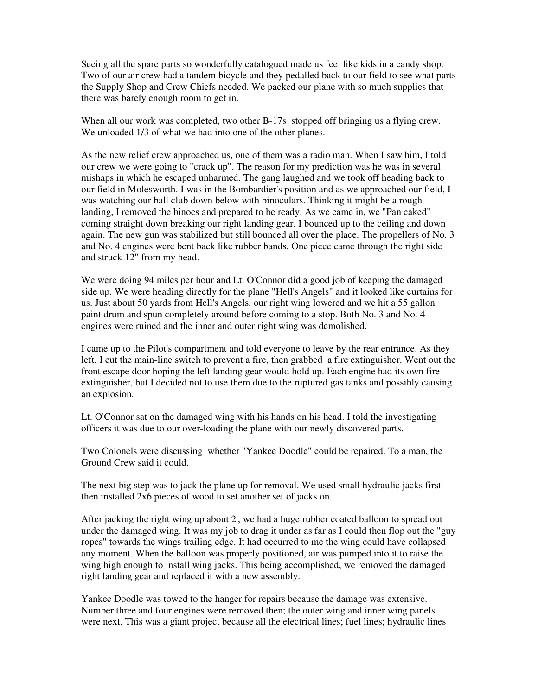Seeing all the spare parts so wonderfully catalogued made us feel like kids in a candy shop. Two of our air crew had a tandem bicycle and they pedalled back to our field to see what parts the Supply Shop and Crew Chiefs needed. We packed our plane with so much supplies that there was barely enough room to get in.

When all our work was completed, two other B-17s stopped off bringing us a flying crew. We unloaded  $1/3$  of what we had into one of the other planes.

As the new relief crew approached us, one of them was a radio man. When I saw him, I told our crew we were going to "crack up". The reason for my prediction was he was in several mishaps in which he escaped unharmed. The gang laughed and we took off heading back to our field in Molesworth. I was in the Bombardier's position and as we approached our field, I was watching our ball club down below with binoculars. Thinking it might be a rough landing, I removed the binocs and prepared to be ready. As we came in, we "Pan caked" coming straight down breaking our right landing gear. I bounced up to the ceiling and down again. The new gun was stabilized but still bounced all over the place. The propellers of No. 3 and No. 4 engines were bent back like rubber bands. One piece came through the right side and struck 12" from my head.

We were doing 94 miles per hour and Lt. O'Connor did a good job of keeping the damaged side up. We were heading directly for the plane "Hell's Angels" and it looked like curtains for us. Just about 50 yards from Hell's Angels, our right wing lowered and we hit a 55 gallon paint drum and spun completely around before coming to a stop. Both No. 3 and No. 4 engines were ruined and the inner and outer right wing was demolished.

I came up to the Pilot's compartment and told everyone to leave by the rear entrance. As they left, I cut the main-line switch to prevent a fire, then grabbed a fire extinguisher. Went out the front escape door hoping the left landing gear would hold up. Each engine had its own fire extinguisher, but I decided not to use them due to the ruptured gas tanks and possibly causing an explosion.

Lt. O'Connor sat on the damaged wing with his hands on his head. I told the investigating officers it was due to our over-loading the plane with our newly discovered parts.

Two Colonels were discussing whether "Yankee Doodle" could be repaired. To a man, the Ground Crew said it could.

The next big step was to jack the plane up for removal. We used small hydraulic jacks first then installed 2x6 pieces of wood to set another set of jacks on.

After jacking the right wing up about 2', we had a huge rubber coated balloon to spread out under the damaged wing. It was my job to drag it under as far as I could then flop out the "guy ropes" towards the wings trailing edge. It had occurred to me the wing could have collapsed any moment. When the balloon was properly positioned, air was pumped into it to raise the wing high enough to install wing jacks. This being accomplished, we removed the damaged right landing gear and replaced it with a new assembly.

Yankee Doodle was towed to the hanger for repairs because the damage was extensive. Number three and four engines were removed then; the outer wing and inner wing panels were next. This was a giant project because all the electrical lines; fuel lines; hydraulic lines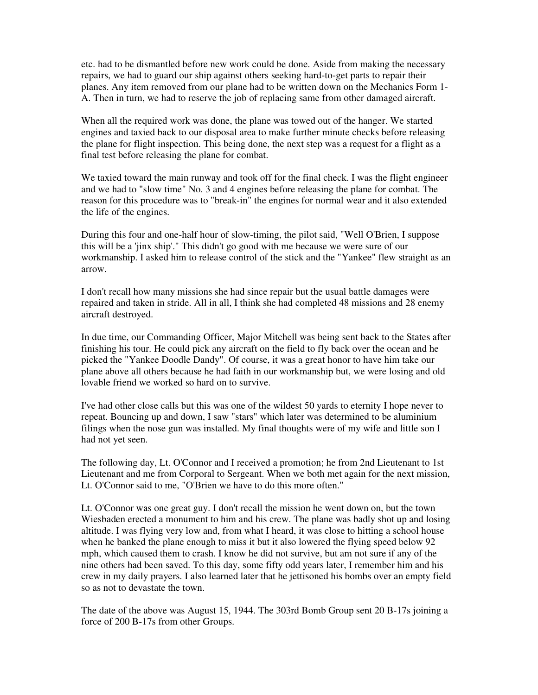etc. had to be dismantled before new work could be done. Aside from making the necessary repairs, we had to guard our ship against others seeking hard-to-get parts to repair their planes. Any item removed from our plane had to be written down on the Mechanics Form 1- A. Then in turn, we had to reserve the job of replacing same from other damaged aircraft.

When all the required work was done, the plane was towed out of the hanger. We started engines and taxied back to our disposal area to make further minute checks before releasing the plane for flight inspection. This being done, the next step was a request for a flight as a final test before releasing the plane for combat.

We taxied toward the main runway and took off for the final check. I was the flight engineer and we had to "slow time" No. 3 and 4 engines before releasing the plane for combat. The reason for this procedure was to "break-in" the engines for normal wear and it also extended the life of the engines.

During this four and one-half hour of slow-timing, the pilot said, "Well O'Brien, I suppose this will be a 'jinx ship'." This didn't go good with me because we were sure of our workmanship. I asked him to release control of the stick and the "Yankee" flew straight as an arrow.

I don't recall how many missions she had since repair but the usual battle damages were repaired and taken in stride. All in all, I think she had completed 48 missions and 28 enemy aircraft destroyed.

In due time, our Commanding Officer, Major Mitchell was being sent back to the States after finishing his tour. He could pick any aircraft on the field to fly back over the ocean and he picked the "Yankee Doodle Dandy". Of course, it was a great honor to have him take our plane above all others because he had faith in our workmanship but, we were losing and old lovable friend we worked so hard on to survive.

I've had other close calls but this was one of the wildest 50 yards to eternity I hope never to repeat. Bouncing up and down, I saw "stars" which later was determined to be aluminium filings when the nose gun was installed. My final thoughts were of my wife and little son I had not yet seen.

The following day, Lt. O'Connor and I received a promotion; he from 2nd Lieutenant to 1st Lieutenant and me from Corporal to Sergeant. When we both met again for the next mission, Lt. O'Connor said to me, "O'Brien we have to do this more often."

Lt. O'Connor was one great guy. I don't recall the mission he went down on, but the town Wiesbaden erected a monument to him and his crew. The plane was badly shot up and losing altitude. I was flying very low and, from what I heard, it was close to hitting a school house when he banked the plane enough to miss it but it also lowered the flying speed below 92 mph, which caused them to crash. I know he did not survive, but am not sure if any of the nine others had been saved. To this day, some fifty odd years later, I remember him and his crew in my daily prayers. I also learned later that he jettisoned his bombs over an empty field so as not to devastate the town.

The date of the above was August 15, 1944. The 303rd Bomb Group sent 20 B-17s joining a force of 200 B-17s from other Groups.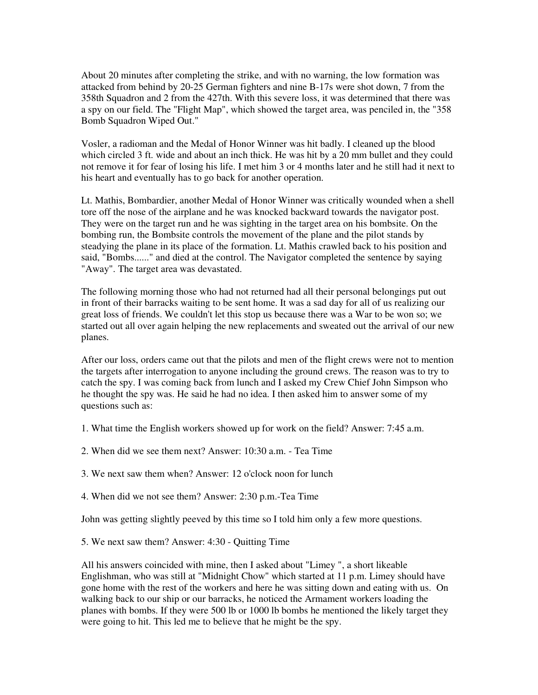About 20 minutes after completing the strike, and with no warning, the low formation was attacked from behind by 20-25 German fighters and nine B-17s were shot down, 7 from the 358th Squadron and 2 from the 427th. With this severe loss, it was determined that there was a spy on our field. The "Flight Map", which showed the target area, was penciled in, the "358 Bomb Squadron Wiped Out."

Vosler, a radioman and the Medal of Honor Winner was hit badly. I cleaned up the blood which circled 3 ft. wide and about an inch thick. He was hit by a 20 mm bullet and they could not remove it for fear of losing his life. I met him 3 or 4 months later and he still had it next to his heart and eventually has to go back for another operation.

Lt. Mathis, Bombardier, another Medal of Honor Winner was critically wounded when a shell tore off the nose of the airplane and he was knocked backward towards the navigator post. They were on the target run and he was sighting in the target area on his bombsite. On the bombing run, the Bombsite controls the movement of the plane and the pilot stands by steadying the plane in its place of the formation. Lt. Mathis crawled back to his position and said, "Bombs......" and died at the control. The Navigator completed the sentence by saying "Away". The target area was devastated.

The following morning those who had not returned had all their personal belongings put out in front of their barracks waiting to be sent home. It was a sad day for all of us realizing our great loss of friends. We couldn't let this stop us because there was a War to be won so; we started out all over again helping the new replacements and sweated out the arrival of our new planes.

After our loss, orders came out that the pilots and men of the flight crews were not to mention the targets after interrogation to anyone including the ground crews. The reason was to try to catch the spy. I was coming back from lunch and I asked my Crew Chief John Simpson who he thought the spy was. He said he had no idea. I then asked him to answer some of my questions such as:

- 1. What time the English workers showed up for work on the field? Answer: 7:45 a.m.
- 2. When did we see them next? Answer: 10:30 a.m. Tea Time
- 3. We next saw them when? Answer: 12 o'clock noon for lunch
- 4. When did we not see them? Answer: 2:30 p.m.-Tea Time

John was getting slightly peeved by this time so I told him only a few more questions.

5. We next saw them? Answer: 4:30 - Quitting Time

All his answers coincided with mine, then I asked about "Limey ", a short likeable Englishman, who was still at "Midnight Chow" which started at 11 p.m. Limey should have gone home with the rest of the workers and here he was sitting down and eating with us. On walking back to our ship or our barracks, he noticed the Armament workers loading the planes with bombs. If they were 500 lb or 1000 lb bombs he mentioned the likely target they were going to hit. This led me to believe that he might be the spy.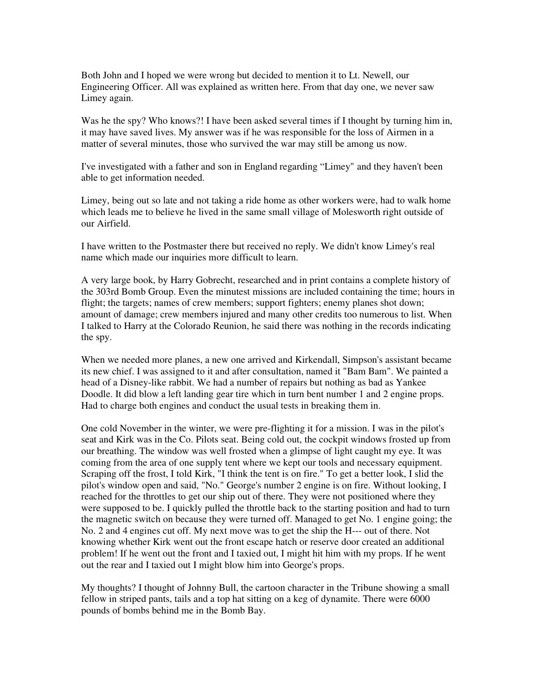Both John and I hoped we were wrong but decided to mention it to Lt. Newell, our Engineering Officer. All was explained as written here. From that day one, we never saw Limey again.

Was he the spy? Who knows?! I have been asked several times if I thought by turning him in, it may have saved lives. My answer was if he was responsible for the loss of Airmen in a matter of several minutes, those who survived the war may still be among us now.

I've investigated with a father and son in England regarding "Limey" and they haven't been able to get information needed.

Limey, being out so late and not taking a ride home as other workers were, had to walk home which leads me to believe he lived in the same small village of Molesworth right outside of our Airfield.

I have written to the Postmaster there but received no reply. We didn't know Limey's real name which made our inquiries more difficult to learn.

A very large book, by Harry Gobrecht, researched and in print contains a complete history of the 303rd Bomb Group. Even the minutest missions are included containing the time; hours in flight; the targets; names of crew members; support fighters; enemy planes shot down; amount of damage; crew members injured and many other credits too numerous to list. When I talked to Harry at the Colorado Reunion, he said there was nothing in the records indicating the spy.

When we needed more planes, a new one arrived and Kirkendall, Simpson's assistant became its new chief. I was assigned to it and after consultation, named it "Bam Bam". We painted a head of a Disney-like rabbit. We had a number of repairs but nothing as bad as Yankee Doodle. It did blow a left landing gear tire which in turn bent number 1 and 2 engine props. Had to charge both engines and conduct the usual tests in breaking them in.

One cold November in the winter, we were pre-flighting it for a mission. I was in the pilot's seat and Kirk was in the Co. Pilots seat. Being cold out, the cockpit windows frosted up from our breathing. The window was well frosted when a glimpse of light caught my eye. It was coming from the area of one supply tent where we kept our tools and necessary equipment. Scraping off the frost, I told Kirk, "I think the tent is on fire." To get a better look, I slid the pilot's window open and said, "No." George's number 2 engine is on fire. Without looking, I reached for the throttles to get our ship out of there. They were not positioned where they were supposed to be. I quickly pulled the throttle back to the starting position and had to turn the magnetic switch on because they were turned off. Managed to get No. 1 engine going; the No. 2 and 4 engines cut off. My next move was to get the ship the H--- out of there. Not knowing whether Kirk went out the front escape hatch or reserve door created an additional problem! If he went out the front and I taxied out, I might hit him with my props. If he went out the rear and I taxied out I might blow him into George's props.

My thoughts? I thought of Johnny Bull, the cartoon character in the Tribune showing a small fellow in striped pants, tails and a top hat sitting on a keg of dynamite. There were 6000 pounds of bombs behind me in the Bomb Bay.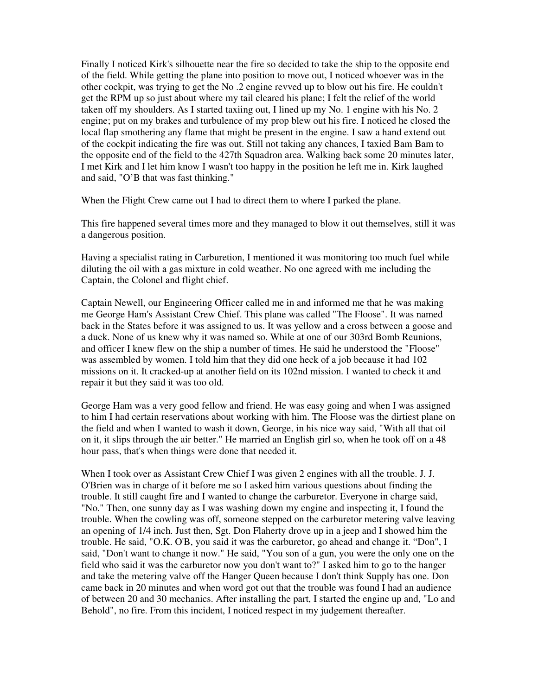Finally I noticed Kirk's silhouette near the fire so decided to take the ship to the opposite end of the field. While getting the plane into position to move out, I noticed whoever was in the other cockpit, was trying to get the No .2 engine revved up to blow out his fire. He couldn't get the RPM up so just about where my tail cleared his plane; I felt the relief of the world taken off my shoulders. As I started taxiing out, I lined up my No. 1 engine with his No. 2 engine; put on my brakes and turbulence of my prop blew out his fire. I noticed he closed the local flap smothering any flame that might be present in the engine. I saw a hand extend out of the cockpit indicating the fire was out. Still not taking any chances, I taxied Bam Bam to the opposite end of the field to the 427th Squadron area. Walking back some 20 minutes later, I met Kirk and I let him know I wasn't too happy in the position he left me in. Kirk laughed and said, "O'B that was fast thinking."

When the Flight Crew came out I had to direct them to where I parked the plane.

This fire happened several times more and they managed to blow it out themselves, still it was a dangerous position.

Having a specialist rating in Carburetion, I mentioned it was monitoring too much fuel while diluting the oil with a gas mixture in cold weather. No one agreed with me including the Captain, the Colonel and flight chief.

Captain Newell, our Engineering Officer called me in and informed me that he was making me George Ham's Assistant Crew Chief. This plane was called "The Floose". It was named back in the States before it was assigned to us. It was yellow and a cross between a goose and a duck. None of us knew why it was named so. While at one of our 303rd Bomb Reunions, and officer I knew flew on the ship a number of times. He said he understood the "Floose" was assembled by women. I told him that they did one heck of a job because it had 102 missions on it. It cracked-up at another field on its 102nd mission. I wanted to check it and repair it but they said it was too old.

George Ham was a very good fellow and friend. He was easy going and when I was assigned to him I had certain reservations about working with him. The Floose was the dirtiest plane on the field and when I wanted to wash it down, George, in his nice way said, "With all that oil on it, it slips through the air better." He married an English girl so, when he took off on a 48 hour pass, that's when things were done that needed it.

When I took over as Assistant Crew Chief I was given 2 engines with all the trouble. J. J. O'Brien was in charge of it before me so I asked him various questions about finding the trouble. It still caught fire and I wanted to change the carburetor. Everyone in charge said, "No." Then, one sunny day as I was washing down my engine and inspecting it, I found the trouble. When the cowling was off, someone stepped on the carburetor metering valve leaving an opening of 1/4 inch. Just then, Sgt. Don Flaherty drove up in a jeep and I showed him the trouble. He said, "O.K. O'B, you said it was the carburetor, go ahead and change it. "Don", I said, "Don't want to change it now." He said, "You son of a gun, you were the only one on the field who said it was the carburetor now you don't want to?" I asked him to go to the hanger and take the metering valve off the Hanger Queen because I don't think Supply has one. Don came back in 20 minutes and when word got out that the trouble was found I had an audience of between 20 and 30 mechanics. After installing the part, I started the engine up and, "Lo and Behold", no fire. From this incident, I noticed respect in my judgement thereafter.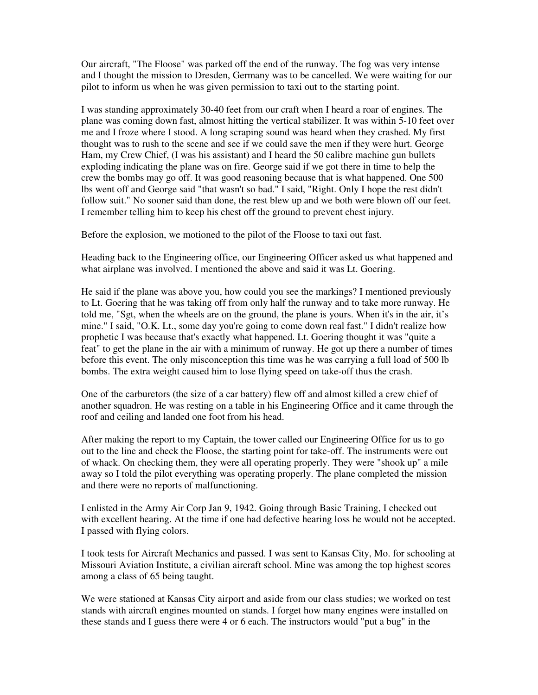Our aircraft, "The Floose" was parked off the end of the runway. The fog was very intense and I thought the mission to Dresden, Germany was to be cancelled. We were waiting for our pilot to inform us when he was given permission to taxi out to the starting point.

I was standing approximately 30-40 feet from our craft when I heard a roar of engines. The plane was coming down fast, almost hitting the vertical stabilizer. It was within 5-10 feet over me and I froze where I stood. A long scraping sound was heard when they crashed. My first thought was to rush to the scene and see if we could save the men if they were hurt. George Ham, my Crew Chief, (I was his assistant) and I heard the 50 calibre machine gun bullets exploding indicating the plane was on fire. George said if we got there in time to help the crew the bombs may go off. It was good reasoning because that is what happened. One 500 lbs went off and George said "that wasn't so bad." I said, "Right. Only I hope the rest didn't follow suit." No sooner said than done, the rest blew up and we both were blown off our feet. I remember telling him to keep his chest off the ground to prevent chest injury.

Before the explosion, we motioned to the pilot of the Floose to taxi out fast.

Heading back to the Engineering office, our Engineering Officer asked us what happened and what airplane was involved. I mentioned the above and said it was Lt. Goering.

He said if the plane was above you, how could you see the markings? I mentioned previously to Lt. Goering that he was taking off from only half the runway and to take more runway. He told me, "Sgt, when the wheels are on the ground, the plane is yours. When it's in the air, it's mine." I said, "O.K. Lt., some day you're going to come down real fast." I didn't realize how prophetic I was because that's exactly what happened. Lt. Goering thought it was "quite a feat" to get the plane in the air with a minimum of runway. He got up there a number of times before this event. The only misconception this time was he was carrying a full load of 500 lb bombs. The extra weight caused him to lose flying speed on take-off thus the crash.

One of the carburetors (the size of a car battery) flew off and almost killed a crew chief of another squadron. He was resting on a table in his Engineering Office and it came through the roof and ceiling and landed one foot from his head.

After making the report to my Captain, the tower called our Engineering Office for us to go out to the line and check the Floose, the starting point for take-off. The instruments were out of whack. On checking them, they were all operating properly. They were "shook up" a mile away so I told the pilot everything was operating properly. The plane completed the mission and there were no reports of malfunctioning.

I enlisted in the Army Air Corp Jan 9, 1942. Going through Basic Training, I checked out with excellent hearing. At the time if one had defective hearing loss he would not be accepted. I passed with flying colors.

I took tests for Aircraft Mechanics and passed. I was sent to Kansas City, Mo. for schooling at Missouri Aviation Institute, a civilian aircraft school. Mine was among the top highest scores among a class of 65 being taught.

We were stationed at Kansas City airport and aside from our class studies; we worked on test stands with aircraft engines mounted on stands. I forget how many engines were installed on these stands and I guess there were 4 or 6 each. The instructors would "put a bug" in the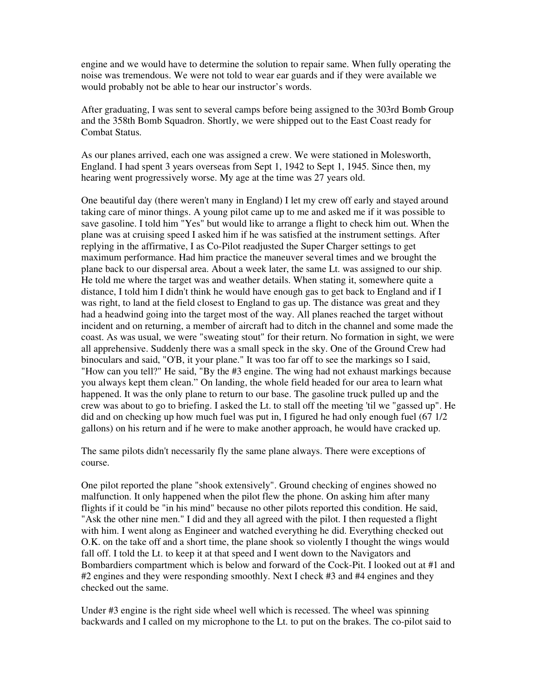engine and we would have to determine the solution to repair same. When fully operating the noise was tremendous. We were not told to wear ear guards and if they were available we would probably not be able to hear our instructor's words.

After graduating, I was sent to several camps before being assigned to the 303rd Bomb Group and the 358th Bomb Squadron. Shortly, we were shipped out to the East Coast ready for Combat Status.

As our planes arrived, each one was assigned a crew. We were stationed in Molesworth, England. I had spent 3 years overseas from Sept 1, 1942 to Sept 1, 1945. Since then, my hearing went progressively worse. My age at the time was 27 years old.

One beautiful day (there weren't many in England) I let my crew off early and stayed around taking care of minor things. A young pilot came up to me and asked me if it was possible to save gasoline. I told him "Yes" but would like to arrange a flight to check him out. When the plane was at cruising speed I asked him if he was satisfied at the instrument settings. After replying in the affirmative, I as Co-Pilot readjusted the Super Charger settings to get maximum performance. Had him practice the maneuver several times and we brought the plane back to our dispersal area. About a week later, the same Lt. was assigned to our ship. He told me where the target was and weather details. When stating it, somewhere quite a distance, I told him I didn't think he would have enough gas to get back to England and if I was right, to land at the field closest to England to gas up. The distance was great and they had a headwind going into the target most of the way. All planes reached the target without incident and on returning, a member of aircraft had to ditch in the channel and some made the coast. As was usual, we were "sweating stout" for their return. No formation in sight, we were all apprehensive. Suddenly there was a small speck in the sky. One of the Ground Crew had binoculars and said, "O'B, it your plane." It was too far off to see the markings so I said, "How can you tell?" He said, "By the #3 engine. The wing had not exhaust markings because you always kept them clean." On landing, the whole field headed for our area to learn what happened. It was the only plane to return to our base. The gasoline truck pulled up and the crew was about to go to briefing. I asked the Lt. to stall off the meeting 'til we "gassed up". He did and on checking up how much fuel was put in, I figured he had only enough fuel (67 1/2 gallons) on his return and if he were to make another approach, he would have cracked up.

The same pilots didn't necessarily fly the same plane always. There were exceptions of course.

One pilot reported the plane "shook extensively". Ground checking of engines showed no malfunction. It only happened when the pilot flew the phone. On asking him after many flights if it could be "in his mind" because no other pilots reported this condition. He said, "Ask the other nine men." I did and they all agreed with the pilot. I then requested a flight with him. I went along as Engineer and watched everything he did. Everything checked out O.K. on the take off and a short time, the plane shook so violently I thought the wings would fall off. I told the Lt. to keep it at that speed and I went down to the Navigators and Bombardiers compartment which is below and forward of the Cock-Pit. I looked out at #1 and #2 engines and they were responding smoothly. Next I check #3 and #4 engines and they checked out the same.

Under #3 engine is the right side wheel well which is recessed. The wheel was spinning backwards and I called on my microphone to the Lt. to put on the brakes. The co-pilot said to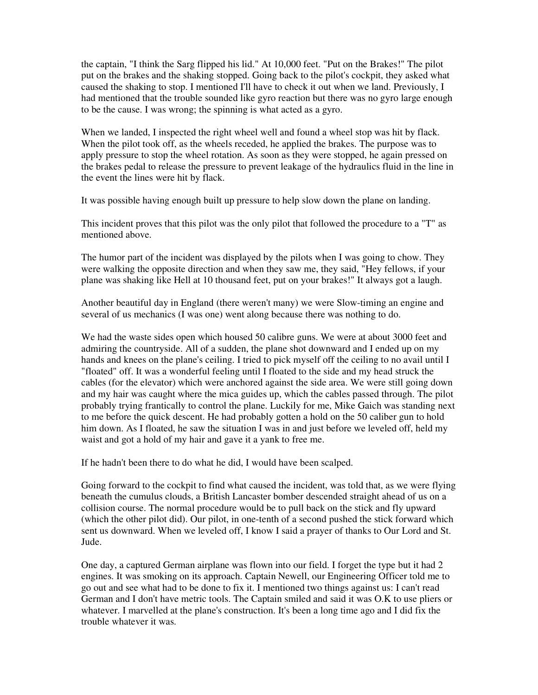the captain, "I think the Sarg flipped his lid." At 10,000 feet. "Put on the Brakes!" The pilot put on the brakes and the shaking stopped. Going back to the pilot's cockpit, they asked what caused the shaking to stop. I mentioned I'll have to check it out when we land. Previously, I had mentioned that the trouble sounded like gyro reaction but there was no gyro large enough to be the cause. I was wrong; the spinning is what acted as a gyro.

When we landed, I inspected the right wheel well and found a wheel stop was hit by flack. When the pilot took off, as the wheels receded, he applied the brakes. The purpose was to apply pressure to stop the wheel rotation. As soon as they were stopped, he again pressed on the brakes pedal to release the pressure to prevent leakage of the hydraulics fluid in the line in the event the lines were hit by flack.

It was possible having enough built up pressure to help slow down the plane on landing.

This incident proves that this pilot was the only pilot that followed the procedure to a "T" as mentioned above.

The humor part of the incident was displayed by the pilots when I was going to chow. They were walking the opposite direction and when they saw me, they said, "Hey fellows, if your plane was shaking like Hell at 10 thousand feet, put on your brakes!" It always got a laugh.

Another beautiful day in England (there weren't many) we were Slow-timing an engine and several of us mechanics (I was one) went along because there was nothing to do.

We had the waste sides open which housed 50 calibre guns. We were at about 3000 feet and admiring the countryside. All of a sudden, the plane shot downward and I ended up on my hands and knees on the plane's ceiling. I tried to pick myself off the ceiling to no avail until I "floated" off. It was a wonderful feeling until I floated to the side and my head struck the cables (for the elevator) which were anchored against the side area. We were still going down and my hair was caught where the mica guides up, which the cables passed through. The pilot probably trying frantically to control the plane. Luckily for me, Mike Gaich was standing next to me before the quick descent. He had probably gotten a hold on the 50 caliber gun to hold him down. As I floated, he saw the situation I was in and just before we leveled off, held my waist and got a hold of my hair and gave it a yank to free me.

If he hadn't been there to do what he did, I would have been scalped.

Going forward to the cockpit to find what caused the incident, was told that, as we were flying beneath the cumulus clouds, a British Lancaster bomber descended straight ahead of us on a collision course. The normal procedure would be to pull back on the stick and fly upward (which the other pilot did). Our pilot, in one-tenth of a second pushed the stick forward which sent us downward. When we leveled off, I know I said a prayer of thanks to Our Lord and St. Jude.

One day, a captured German airplane was flown into our field. I forget the type but it had 2 engines. It was smoking on its approach. Captain Newell, our Engineering Officer told me to go out and see what had to be done to fix it. I mentioned two things against us: I can't read German and I don't have metric tools. The Captain smiled and said it was O.K to use pliers or whatever. I marvelled at the plane's construction. It's been a long time ago and I did fix the trouble whatever it was.